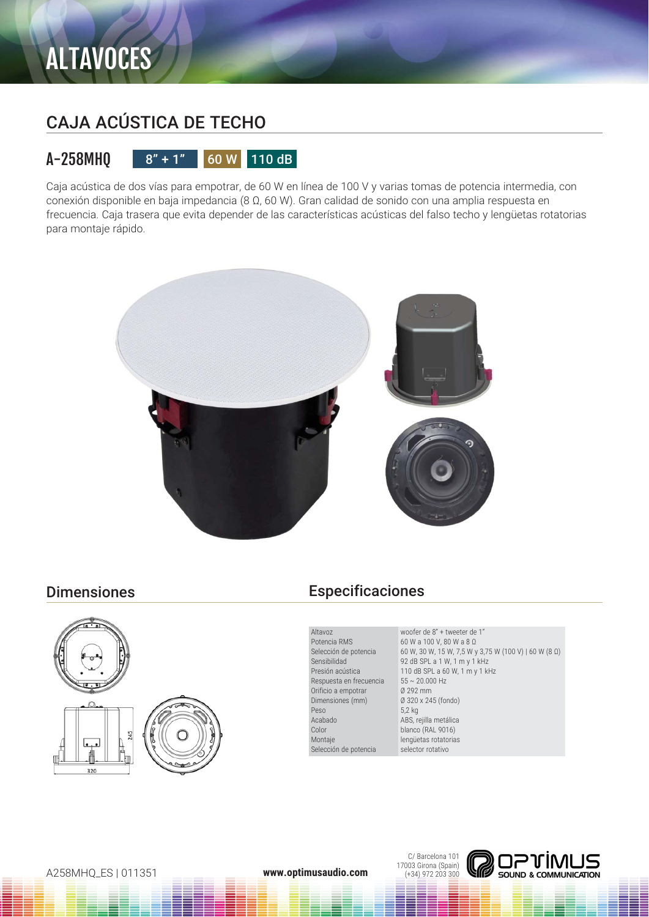## CAJA ACÚSTICA DE TECHO

### A-258MHQ  $8" + 1"$  60 W 110 dB

Caja acústica de dos vías para empotrar, de 60 W en línea de 100 V y varias tomas de potencia intermedia, con conexión disponible en baja impedancia (8 Ω, 60 W). Gran calidad de sonido con una amplia respuesta en frecuencia. Caja trasera que evita depender de las características acústicas del falso techo y lengüetas rotatorias para montaje rápido.





### Dimensiones Especificaciones

Altavoz Potencia RMS Selección de potencia Sensibilidad Presión acústica Respuesta en frecuencia Orificio a empotrar Dimensiones (mm) Peso Acabado Color Montaje Selección de potencia

woofer de 8" + tweeter de 1" 60 W a 100 V, 80 W a 8 Ω 60 W, 30 W, 15 W, 7,5 W y 3,75 W (100 V) | 60 W (8 Ω) 92 dB SPL a 1 W, 1 m y 1 kHz 110 dB SPL a 60 W, 1 m y 1 kHz  $55 \sim 20.000$  Hz Ø 292 mm Ø 320 x 245 (fondo) 5,2 kg ABS, rejilla metálica blanco (RAL 9016) lengüetas rotatorias selector rotativo

C/ Barcelona 101 17003 Girona (Spain) (+34) 972 203 300